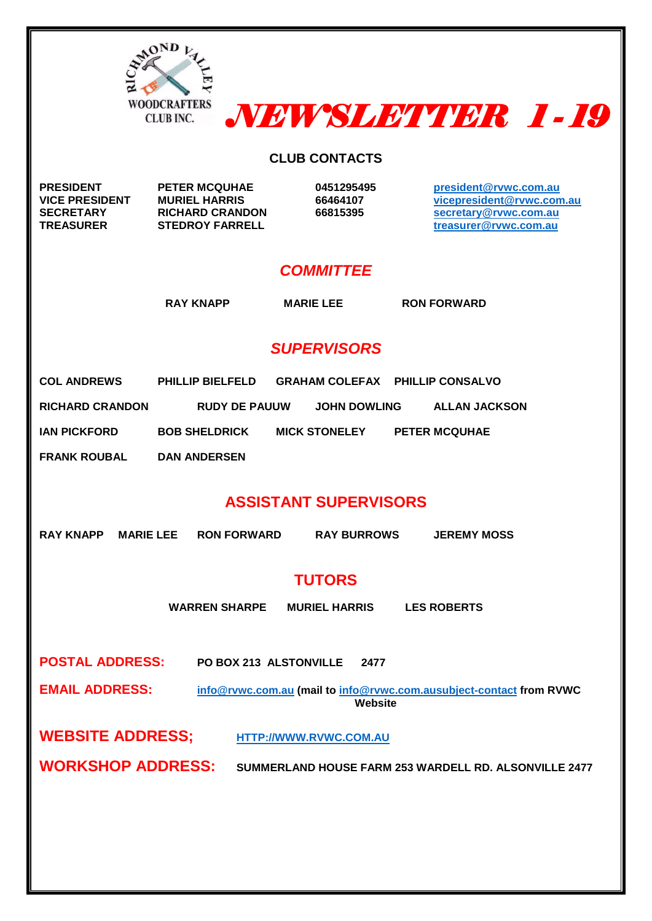



#### **CLUB CONTACTS**

**PRESIDENT PETER MCQUHAE 0451295495 [president@rvwc.com.au](mailto:president@rvwc.com.au) VICE PRESIDENT** MURIEL HARRIS 66464107 <br> **SECRETARY** RICHARD CRANDON 66815395 **186815395 [vicepresident@rvwc.com.au](mailto:vicepresident@rvwc.com.au) SECRETARY RICHARD CRANDON 66815395 [secretary@rvwc.com.au](mailto:secretary@rvwc.com.au) TREASURER STEDROY FARRELL [treasurer@rvwc.com.au](mailto:treasurer@rvwc.com.au)**

#### *COMMITTEE*

**RAY KNAPP MARIE LEE RON FORWARD**

### *SUPERVISORS*

| <b>COL ANDREWS</b>     | <b>PHILLIP BIELFELD</b> | <b>GRAHAM COLEFAX PHILLIP CONSALVO</b> |                      |
|------------------------|-------------------------|----------------------------------------|----------------------|
| <b>RICHARD CRANDON</b> | <b>RUDY DE PAUUW</b>    | <b>JOHN DOWLING</b>                    | <b>ALLAN JACKSON</b> |
| IAN PICKFORD           | <b>BOB SHELDRICK</b>    | <b>MICK STONELEY</b>                   | <b>PETER MCQUHAE</b> |
| <b>FRANK ROUBAL</b>    | <b>DAN ANDERSEN</b>     |                                        |                      |

### **ASSISTANT SUPERVISORS**

| <b>RAY KNAPP</b>       |                          | <b>MARIE LEE RON FORWARD</b> | <b>RAY BURROWS</b>     | <b>JEREMY MOSS</b>                                                  |  |
|------------------------|--------------------------|------------------------------|------------------------|---------------------------------------------------------------------|--|
|                        |                          |                              | <b>TUTORS</b>          |                                                                     |  |
|                        |                          | <b>WARREN SHARPE</b>         | <b>MURIEL HARRIS</b>   | <b>LES ROBERTS</b>                                                  |  |
|                        |                          |                              |                        |                                                                     |  |
| <b>POSTAL ADDRESS:</b> |                          | PO BOX 213 ALSTONVILLE       | 2477                   |                                                                     |  |
| <b>EMAIL ADDRESS:</b>  |                          |                              | Website                | info@rvwc.com.au (mail to info@rvwc.com.ausubject-contact from RVWC |  |
|                        | <b>WEBSITE ADDRESS:</b>  |                              | HTTP://WWW.RVWC.COM.AU |                                                                     |  |
|                        | <b>WORKSHOP ADDRESS:</b> |                              |                        | SUMMERLAND HOUSE FARM 253 WARDELL RD. ALSONVILLE 2477               |  |
|                        |                          |                              |                        |                                                                     |  |
|                        |                          |                              |                        |                                                                     |  |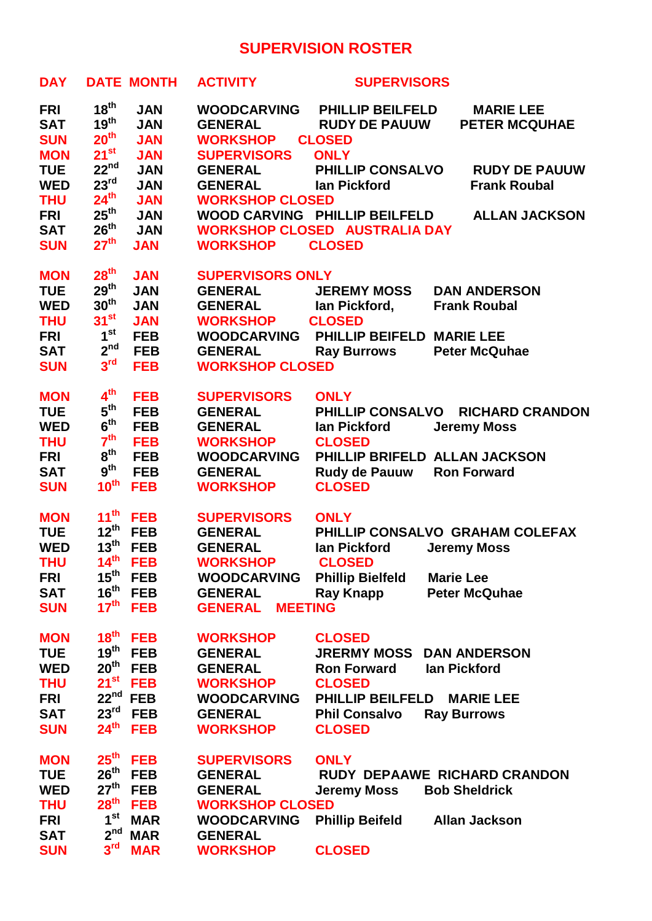# **SUPERVISION ROSTER**

| <b>DAY</b> |                  | <b>DATE MONTH</b> | <b>ACTIVITY</b>                  | <b>SUPERVISORS</b>                   |                                 |
|------------|------------------|-------------------|----------------------------------|--------------------------------------|---------------------------------|
| <b>FRI</b> | $18^{th}$        | <b>JAN</b>        | <b>WOODCARVING</b>               | <b>PHILLIP BEILFELD</b>              | <b>MARIE LEE</b>                |
| <b>SAT</b> | 19 <sup>th</sup> | <b>JAN</b>        | <b>GENERAL</b>                   | <b>RUDY DE PAUUW</b>                 | <b>PETER MCQUHAE</b>            |
| <b>SUN</b> | 20 <sup>th</sup> | <b>JAN</b>        | <b>WORKSHOP</b>                  | <b>CLOSED</b>                        |                                 |
| <b>MON</b> | $21^{st}$        | <b>JAN</b>        | <b>SUPERVISORS</b>               | <b>ONLY</b>                          |                                 |
| <b>TUE</b> | 22 <sup>nd</sup> | <b>JAN</b>        | <b>GENERAL</b>                   | <b>PHILLIP CONSALVO</b>              | <b>RUDY DE PAUUW</b>            |
| <b>WED</b> | 23 <sup>rd</sup> | <b>JAN</b>        | <b>GENERAL</b>                   | lan Pickford                         | <b>Frank Roubal</b>             |
| <b>THU</b> | $24^{th}$        | <b>JAN</b>        | <b>WORKSHOP CLOSED</b>           |                                      |                                 |
| <b>FRI</b> | $25^{\text{th}}$ | <b>JAN</b>        |                                  | WOOD CARVING PHILLIP BEILFELD        | <b>ALLAN JACKSON</b>            |
| <b>SAT</b> | 26 <sup>th</sup> | <b>JAN</b>        |                                  | <b>WORKSHOP CLOSED AUSTRALIA DAY</b> |                                 |
| <b>SUN</b> | 27 <sup>th</sup> | <b>JAN</b>        | <b>WORKSHOP</b>                  | <b>CLOSED</b>                        |                                 |
| <b>MON</b> | 28 <sup>th</sup> | <b>JAN</b>        | <b>SUPERVISORS ONLY</b>          |                                      |                                 |
| <b>TUE</b> | $29^{th}$        | <b>JAN</b>        | <b>GENERAL</b>                   | <b>JEREMY MOSS</b>                   | <b>DAN ANDERSON</b>             |
| <b>WED</b> | 30 <sup>th</sup> | <b>JAN</b>        | <b>GENERAL</b>                   | lan Pickford,                        | <b>Frank Roubal</b>             |
| <b>THU</b> | $31^{st}$        | <b>JAN</b>        | <b>WORKSHOP</b>                  | <b>CLOSED</b>                        |                                 |
| <b>FRI</b> | 1 <sup>st</sup>  | <b>FEB</b>        | <b>WOODCARVING</b>               | PHILLIP BEIFELD MARIE LEE            |                                 |
| <b>SAT</b> | 2 <sup>nd</sup>  | <b>FEB</b>        | <b>GENERAL</b>                   | <b>Ray Burrows</b>                   | <b>Peter McQuhae</b>            |
| <b>SUN</b> | 3 <sup>rd</sup>  | <b>FEB</b>        | <b>WORKSHOP CLOSED</b>           |                                      |                                 |
| <b>MON</b> | 4 <sup>th</sup>  | <b>FEB</b>        | <b>SUPERVISORS</b>               | <b>ONLY</b>                          |                                 |
| <b>TUE</b> | 5 <sup>th</sup>  | <b>FEB</b>        | <b>GENERAL</b>                   | <b>PHILLIP CONSALVO</b>              | <b>RICHARD CRANDON</b>          |
| <b>WED</b> | $6^{\text{th}}$  | <b>FEB</b>        | <b>GENERAL</b>                   | lan Pickford                         | <b>Jeremy Moss</b>              |
| <b>THU</b> | 7 <sup>th</sup>  | <b>FEB</b>        | <b>WORKSHOP</b>                  | <b>CLOSED</b>                        |                                 |
| <b>FRI</b> | 8 <sup>th</sup>  | <b>FEB</b>        | <b>WOODCARVING</b>               | PHILLIP BRIFELD ALLAN JACKSON        |                                 |
| <b>SAT</b> | 9 <sup>th</sup>  | <b>FEB</b>        | <b>GENERAL</b>                   | <b>Rudy de Pauuw</b>                 | <b>Ron Forward</b>              |
| <b>SUN</b> | 10 <sup>th</sup> | <b>FEB</b>        | <b>WORKSHOP</b>                  | <b>CLOSED</b>                        |                                 |
| <b>MON</b> | 11 <sup>th</sup> | <b>FEB</b>        | <b>SUPERVISORS</b>               | <b>ONLY</b>                          |                                 |
| <b>TUE</b> | $12^{th}$        | <b>FEB</b>        | <b>GENERAL</b>                   |                                      | PHILLIP CONSALVO GRAHAM COLEFAX |
| <b>WED</b> | 13 <sup>th</sup> | <b>FEB</b>        | <b>GENERAL</b>                   | lan Pickford                         | <b>Jeremy Moss</b>              |
| <b>THU</b> | 14 <sup>th</sup> | <b>FEB</b>        | <b>WORKSHOP</b>                  | <b>CLOSED</b>                        |                                 |
| <b>FRI</b> | $15^{\text{th}}$ | <b>FEB</b>        | <b>WOODCARVING</b>               | <b>Phillip Bielfeld</b>              | <b>Marie Lee</b>                |
| <b>SAT</b> | $16^{\text{th}}$ | <b>FEB</b>        | <b>GENERAL</b>                   | <b>Ray Knapp</b>                     | <b>Peter McQuhae</b>            |
| <b>SUN</b> | $17^{\text{th}}$ | <b>FEB</b>        | <b>MEETING</b><br><b>GENERAL</b> |                                      |                                 |
| <b>MON</b> | 18 <sup>th</sup> | <b>FEB</b>        | <b>WORKSHOP</b>                  | <b>CLOSED</b>                        |                                 |
| <b>TUE</b> | $19^{\text{th}}$ | <b>FEB</b>        | <b>GENERAL</b>                   | <b>JRERMY MOSS</b>                   | <b>DAN ANDERSON</b>             |
| <b>WED</b> | 20 <sup>th</sup> | <b>FEB</b>        | <b>GENERAL</b>                   | <b>Ron Forward</b>                   | lan Pickford                    |
| <b>THU</b> | $21^{st}$        | <b>FEB</b>        | <b>WORKSHOP</b>                  | <b>CLOSED</b>                        |                                 |
| <b>FRI</b> |                  | $22nd$ FEB        | <b>WOODCARVING</b>               | <b>PHILLIP BEILFELD</b>              | <b>MARIE LEE</b>                |
| <b>SAT</b> | 23 <sup>rd</sup> | <b>FEB</b>        | <b>GENERAL</b>                   | <b>Phil Consalvo</b>                 | <b>Ray Burrows</b>              |
| <b>SUN</b> | $24^{\text{th}}$ | <b>FEB</b>        | <b>WORKSHOP</b>                  | <b>CLOSED</b>                        |                                 |
| <b>MON</b> | 25 <sup>th</sup> | <b>FEB</b>        | <b>SUPERVISORS</b>               | <b>ONLY</b>                          |                                 |
| <b>TUE</b> | $26^{th}$        | <b>FEB</b>        | <b>GENERAL</b>                   |                                      | RUDY DEPAAWE RICHARD CRANDON    |
| <b>WED</b> | 27 <sup>th</sup> | <b>FEB</b>        | <b>GENERAL</b>                   | <b>Jeremy Moss</b>                   | <b>Bob Sheldrick</b>            |
| <b>THU</b> | 28 <sup>th</sup> | <b>FEB</b>        | <b>WORKSHOP CLOSED</b>           |                                      |                                 |
| <b>FRI</b> | 1 <sup>st</sup>  | <b>MAR</b>        | <b>WOODCARVING</b>               | <b>Phillip Beifeld</b>               | <b>Allan Jackson</b>            |
| <b>SAT</b> | 2 <sup>nd</sup>  | <b>MAR</b>        | <b>GENERAL</b>                   |                                      |                                 |
| <b>SUN</b> | $3^{\text{rd}}$  | <b>MAR</b>        | <b>WORKSHOP</b>                  | <b>CLOSED</b>                        |                                 |